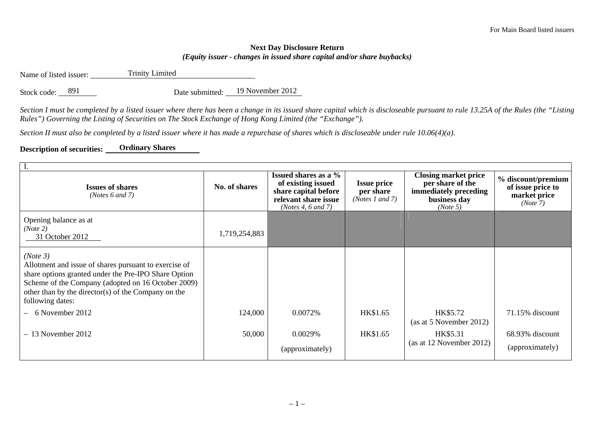## **Next Day Disclosure Return**  *(Equity issuer - changes in issued share capital and/or share buybacks)*

Name of listed issuer: Trinity Limited

Stock code: 891 Date submitted: 19 November 2012

*Section I must be completed by a listed issuer where there has been a change in its issued share capital which is discloseable pursuant to rule 13.25A of the Rules (the "Listing Rules") Governing the Listing of Securities on The Stock Exchange of Hong Kong Limited (the "Exchange").* 

*Section II must also be completed by a listed issuer where it has made a repurchase of shares which is discloseable under rule 10.06(4)(a).* 

## **Description of securities: Ordinary Shares**

| <b>Issues of shares</b><br>( <i>Notes</i> $6$ and $7$ )                                                                                                                                                                                                    | No. of shares | Issued shares as a %<br>of existing issued<br>share capital before<br>relevant share issue<br>(Notes 4, $6$ and $7$ ) | <b>Issue price</b><br>per share<br>( <i>Notes 1 and 7</i> ) | <b>Closing market price</b><br>per share of the<br>immediately preceding<br>business day<br>(Note 5) | % discount/premium<br>of issue price to<br>market price<br>(Note 7) |  |  |
|------------------------------------------------------------------------------------------------------------------------------------------------------------------------------------------------------------------------------------------------------------|---------------|-----------------------------------------------------------------------------------------------------------------------|-------------------------------------------------------------|------------------------------------------------------------------------------------------------------|---------------------------------------------------------------------|--|--|
| Opening balance as at<br>(Note 2)<br>31 October 2012                                                                                                                                                                                                       | 1,719,254,883 |                                                                                                                       |                                                             |                                                                                                      |                                                                     |  |  |
| (Note 3)<br>Allotment and issue of shares pursuant to exercise of<br>share options granted under the Pre-IPO Share Option<br>Scheme of the Company (adopted on 16 October 2009)<br>other than by the director(s) of the Company on the<br>following dates: |               |                                                                                                                       |                                                             |                                                                                                      |                                                                     |  |  |
| 6 November 2012                                                                                                                                                                                                                                            | 124,000       | 0.0072%                                                                                                               | HK\$1.65                                                    | HK\$5.72<br>(as at 5 November 2012)                                                                  | 71.15% discount                                                     |  |  |
| $-13$ November 2012                                                                                                                                                                                                                                        | 50,000        | 0.0029%<br>(approximately)                                                                                            | HK\$1.65                                                    | HK\$5.31<br>(as at 12 November 2012)                                                                 | 68.93% discount<br>(approximately)                                  |  |  |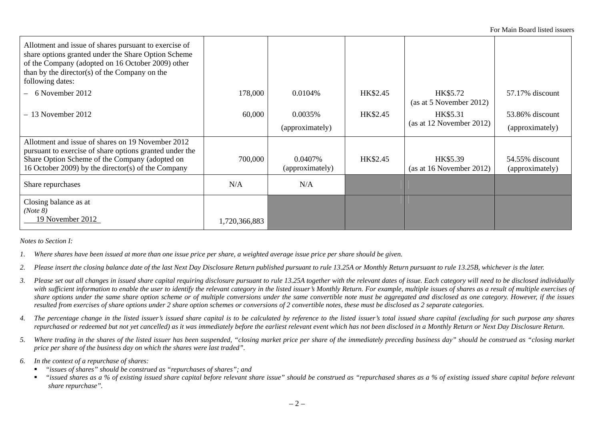For Main Board listed issuers

| Allotment and issue of shares pursuant to exercise of<br>share options granted under the Share Option Scheme<br>of the Company (adopted on 16 October 2009) other<br>than by the director(s) of the Company on the<br>following dates: |               |                            |          |                                      |                                    |
|----------------------------------------------------------------------------------------------------------------------------------------------------------------------------------------------------------------------------------------|---------------|----------------------------|----------|--------------------------------------|------------------------------------|
| 6 November 2012                                                                                                                                                                                                                        | 178,000       | 0.0104%                    | HK\$2.45 | HK\$5.72<br>(as at 5 November 2012)  | 57.17% discount                    |
| $-13$ November 2012                                                                                                                                                                                                                    | 60,000        | 0.0035%<br>(approximately) | HK\$2.45 | HK\$5.31<br>(as at 12 November 2012) | 53.86% discount<br>(approximately) |
| Allotment and issue of shares on 19 November 2012<br>pursuant to exercise of share options granted under the<br>Share Option Scheme of the Company (adopted on<br>16 October 2009) by the director(s) of the Company                   | 700,000       | 0.0407%<br>(approximately) | HK\$2.45 | HK\$5.39<br>(as at 16 November 2012) | 54.55% discount<br>(approximately) |
| Share repurchases                                                                                                                                                                                                                      | N/A           | N/A                        |          |                                      |                                    |
| Closing balance as at<br>(Note 8)<br>19 November 2012                                                                                                                                                                                  | 1,720,366,883 |                            |          |                                      |                                    |

*Notes to Section I:* 

- *1. Where shares have been issued at more than one issue price per share, a weighted average issue price per share should be given.*
- *2. Please insert the closing balance date of the last Next Day Disclosure Return published pursuant to rule 13.25A or Monthly Return pursuant to rule 13.25B, whichever is the later.*
- *3. Please set out all changes in issued share capital requiring disclosure pursuant to rule 13.25A together with the relevant dates of issue. Each category will need to be disclosed individually*  with sufficient information to enable the user to identify the relevant category in the listed issuer's Monthly Return. For example, multiple issues of shares as a result of multiple exercises of *share options under the same share option scheme or of multiple conversions under the same convertible note must be aggregated and disclosed as one category. However, if the issues resulted from exercises of share options under 2 share option schemes or conversions of 2 convertible notes, these must be disclosed as 2 separate categories.*
- *4. The percentage change in the listed issuer's issued share capital is to be calculated by reference to the listed issuer's total issued share capital (excluding for such purpose any shares repurchased or redeemed but not yet cancelled) as it was immediately before the earliest relevant event which has not been disclosed in a Monthly Return or Next Day Disclosure Return.*
- *5. Where trading in the shares of the listed issuer has been suspended, "closing market price per share of the immediately preceding business day" should be construed as "closing market price per share of the business day on which the shares were last traded".*
- *6. In the context of a repurchase of shares:* 
	- $\blacksquare$ *"issues of shares" should be construed as "repurchases of shares"; and*
	- $\blacksquare$  *"issued shares as a % of existing issued share capital before relevant share issue" should be construed as "repurchased shares as a % of existing issued share capital before relevant share repurchase".*